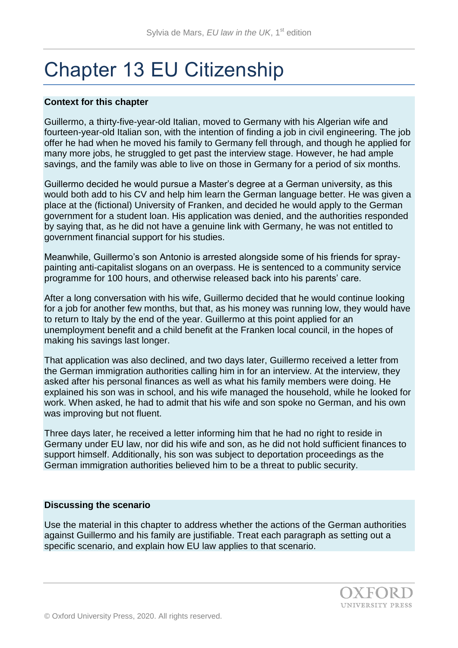# Chapter 13 EU Citizenship

## **Context for this chapter**

Guillermo, a thirty-five-year-old Italian, moved to Germany with his Algerian wife and fourteen-year-old Italian son, with the intention of finding a job in civil engineering. The job offer he had when he moved his family to Germany fell through, and though he applied for many more jobs, he struggled to get past the interview stage. However, he had ample savings, and the family was able to live on those in Germany for a period of six months.

Guillermo decided he would pursue a Master's degree at a German university, as this would both add to his CV and help him learn the German language better. He was given a place at the (fictional) University of Franken, and decided he would apply to the German government for a student loan. His application was denied, and the authorities responded by saying that, as he did not have a genuine link with Germany, he was not entitled to government financial support for his studies.

Meanwhile, Guillermo's son Antonio is arrested alongside some of his friends for spraypainting anti-capitalist slogans on an overpass. He is sentenced to a community service programme for 100 hours, and otherwise released back into his parents' care.

After a long conversation with his wife, Guillermo decided that he would continue looking for a job for another few months, but that, as his money was running low, they would have to return to Italy by the end of the year. Guillermo at this point applied for an unemployment benefit and a child benefit at the Franken local council, in the hopes of making his savings last longer.

That application was also declined, and two days later, Guillermo received a letter from the German immigration authorities calling him in for an interview. At the interview, they asked after his personal finances as well as what his family members were doing. He explained his son was in school, and his wife managed the household, while he looked for work. When asked, he had to admit that his wife and son spoke no German, and his own was improving but not fluent.

Three days later, he received a letter informing him that he had no right to reside in Germany under EU law, nor did his wife and son, as he did not hold sufficient finances to support himself. Additionally, his son was subject to deportation proceedings as the German immigration authorities believed him to be a threat to public security.

## **Discussing the scenario**

Use the material in this chapter to address whether the actions of the German authorities against Guillermo and his family are justifiable. Treat each paragraph as setting out a specific scenario, and explain how EU law applies to that scenario.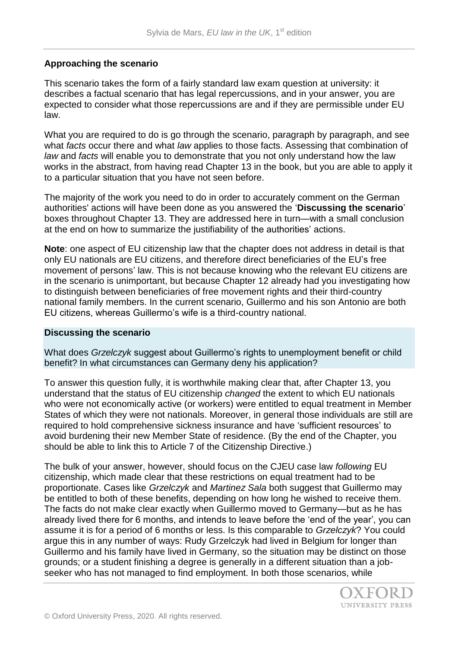# **Approaching the scenario**

This scenario takes the form of a fairly standard law exam question at university: it describes a factual scenario that has legal repercussions, and in your answer, you are expected to consider what those repercussions are and if they are permissible under EU law.

What you are required to do is go through the scenario, paragraph by paragraph, and see what *facts* occur there and what *law* applies to those facts. Assessing that combination of *law* and *facts* will enable you to demonstrate that you not only understand how the law works in the abstract, from having read Chapter 13 in the book, but you are able to apply it to a particular situation that you have not seen before.

The majority of the work you need to do in order to accurately comment on the German authorities' actions will have been done as you answered the '**Discussing the scenario**' boxes throughout Chapter 13. They are addressed here in turn—with a small conclusion at the end on how to summarize the justifiability of the authorities' actions.

**Note**: one aspect of EU citizenship law that the chapter does not address in detail is that only EU nationals are EU citizens, and therefore direct beneficiaries of the EU's free movement of persons' law. This is not because knowing who the relevant EU citizens are in the scenario is unimportant, but because Chapter 12 already had you investigating how to distinguish between beneficiaries of free movement rights and their third-country national family members. In the current scenario, Guillermo and his son Antonio are both EU citizens, whereas Guillermo's wife is a third-country national.

## **Discussing the scenario**

What does *Grzelczyk* suggest about Guillermo's rights to unemployment benefit or child benefit? In what circumstances can Germany deny his application?

To answer this question fully, it is worthwhile making clear that, after Chapter 13, you understand that the status of EU citizenship *changed* the extent to which EU nationals who were not economically active (or workers) were entitled to equal treatment in Member States of which they were not nationals. Moreover, in general those individuals are still are required to hold comprehensive sickness insurance and have 'sufficient resources' to avoid burdening their new Member State of residence. (By the end of the Chapter, you should be able to link this to Article 7 of the Citizenship Directive.)

The bulk of your answer, however, should focus on the CJEU case law *following* EU citizenship, which made clear that these restrictions on equal treatment had to be proportionate. Cases like *Grzelczyk* and *Martinez Sala* both suggest that Guillermo may be entitled to both of these benefits, depending on how long he wished to receive them. The facts do not make clear exactly when Guillermo moved to Germany—but as he has already lived there for 6 months, and intends to leave before the 'end of the year', you can assume it is for a period of 6 months or less. Is this comparable to *Grzelczyk*? You could argue this in any number of ways: Rudy Grzelczyk had lived in Belgium for longer than Guillermo and his family have lived in Germany, so the situation may be distinct on those grounds; or a student finishing a degree is generally in a different situation than a jobseeker who has not managed to find employment. In both those scenarios, while

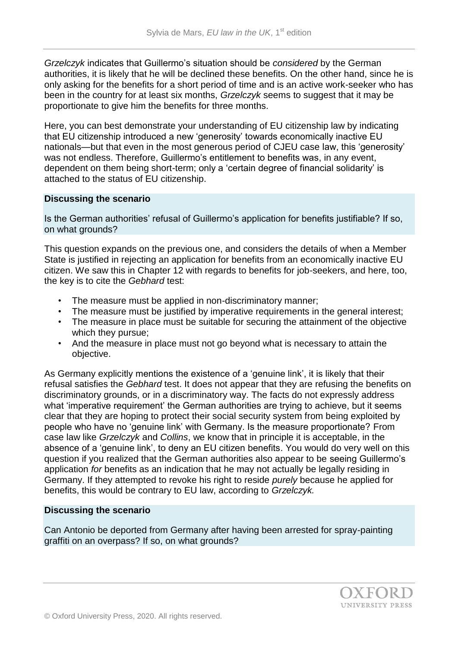*Grzelczyk* indicates that Guillermo's situation should be *considered* by the German authorities, it is likely that he will be declined these benefits. On the other hand, since he is only asking for the benefits for a short period of time and is an active work-seeker who has been in the country for at least six months, *Grzelczyk* seems to suggest that it may be proportionate to give him the benefits for three months.

Here, you can best demonstrate your understanding of EU citizenship law by indicating that EU citizenship introduced a new 'generosity' towards economically inactive EU nationals—but that even in the most generous period of CJEU case law, this 'generosity' was not endless. Therefore, Guillermo's entitlement to benefits was, in any event, dependent on them being short-term; only a 'certain degree of financial solidarity' is attached to the status of EU citizenship.

## **Discussing the scenario**

Is the German authorities' refusal of Guillermo's application for benefits justifiable? If so, on what grounds?

This question expands on the previous one, and considers the details of when a Member State is justified in rejecting an application for benefits from an economically inactive EU citizen. We saw this in Chapter 12 with regards to benefits for job-seekers, and here, too, the key is to cite the *Gebhard* test:

- The measure must be applied in non-discriminatory manner;
- The measure must be justified by imperative requirements in the general interest;
- The measure in place must be suitable for securing the attainment of the objective which they pursue;
- And the measure in place must not go beyond what is necessary to attain the objective.

As Germany explicitly mentions the existence of a 'genuine link', it is likely that their refusal satisfies the *Gebhard* test. It does not appear that they are refusing the benefits on discriminatory grounds, or in a discriminatory way. The facts do not expressly address what 'imperative requirement' the German authorities are trying to achieve, but it seems clear that they are hoping to protect their social security system from being exploited by people who have no 'genuine link' with Germany. Is the measure proportionate? From case law like *Grzelczyk* and *Collins*, we know that in principle it is acceptable, in the absence of a 'genuine link', to deny an EU citizen benefits. You would do very well on this question if you realized that the German authorities also appear to be seeing Guillermo's application *for* benefits as an indication that he may not actually be legally residing in Germany. If they attempted to revoke his right to reside *purely* because he applied for benefits, this would be contrary to EU law, according to *Grzelczyk.* 

# **Discussing the scenario**

Can Antonio be deported from Germany after having been arrested for spray-painting graffiti on an overpass? If so, on what grounds?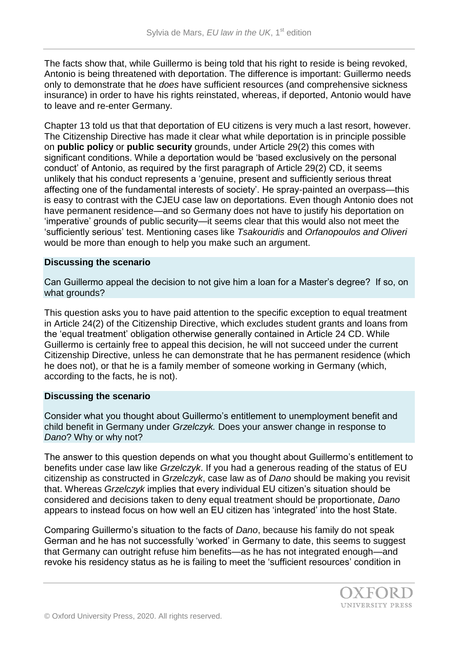The facts show that, while Guillermo is being told that his right to reside is being revoked, Antonio is being threatened with deportation. The difference is important: Guillermo needs only to demonstrate that he *does* have sufficient resources (and comprehensive sickness insurance) in order to have his rights reinstated, whereas, if deported, Antonio would have to leave and re-enter Germany.

Chapter 13 told us that that deportation of EU citizens is very much a last resort, however. The Citizenship Directive has made it clear what while deportation is in principle possible on **public policy** or **public security** grounds, under Article 29(2) this comes with significant conditions. While a deportation would be 'based exclusively on the personal conduct' of Antonio, as required by the first paragraph of Article 29(2) CD, it seems unlikely that his conduct represents a 'genuine, present and sufficiently serious threat affecting one of the fundamental interests of society'. He spray-painted an overpass—this is easy to contrast with the CJEU case law on deportations. Even though Antonio does not have permanent residence—and so Germany does not have to justify his deportation on 'imperative' grounds of public security—it seems clear that this would also not meet the 'sufficiently serious' test. Mentioning cases like *Tsakouridis* and *Orfanopoulos and Oliveri* would be more than enough to help you make such an argument.

## **Discussing the scenario**

Can Guillermo appeal the decision to not give him a loan for a Master's degree? If so, on what grounds?

This question asks you to have paid attention to the specific exception to equal treatment in Article 24(2) of the Citizenship Directive, which excludes student grants and loans from the 'equal treatment' obligation otherwise generally contained in Article 24 CD. While Guillermo is certainly free to appeal this decision, he will not succeed under the current Citizenship Directive, unless he can demonstrate that he has permanent residence (which he does not), or that he is a family member of someone working in Germany (which, according to the facts, he is not).

## **Discussing the scenario**

Consider what you thought about Guillermo's entitlement to unemployment benefit and child benefit in Germany under *Grzelczyk.* Does your answer change in response to *Dano*? Why or why not?

The answer to this question depends on what you thought about Guillermo's entitlement to benefits under case law like *Grzelczyk*. If you had a generous reading of the status of EU citizenship as constructed in *Grzelczyk*, case law as of *Dano* should be making you revisit that. Whereas *Grzelczyk* implies that every individual EU citizen's situation should be considered and decisions taken to deny equal treatment should be proportionate, *Dano*  appears to instead focus on how well an EU citizen has 'integrated' into the host State.

Comparing Guillermo's situation to the facts of *Dano*, because his family do not speak German and he has not successfully 'worked' in Germany to date, this seems to suggest that Germany can outright refuse him benefits—as he has not integrated enough—and revoke his residency status as he is failing to meet the 'sufficient resources' condition in